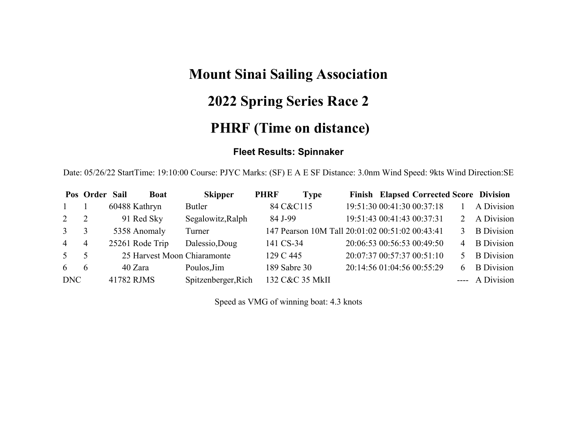# **Mount Sinai Sailing Association**

## **2022 Spring Series Race 2**

## **PHRF (Time on distance)**

#### **Fleet Results: Spinnaker**

Date: 05/26/22 StartTime: 19:10:00 Course: PJYC Marks: (SF) E A E SF Distance: 3.0nm Wind Speed: 9kts Wind Direction:SE

|                | Pos Order Sail | <b>Boat</b>                 | <b>Skipper</b>      | <b>PHRF</b><br><b>Type</b>                      |                            | Finish Elapsed Corrected Score Division |   |                   |
|----------------|----------------|-----------------------------|---------------------|-------------------------------------------------|----------------------------|-----------------------------------------|---|-------------------|
|                |                | 60488 Kathryn               | Butler              | 84 C&C115                                       |                            | 19:51:30 00:41:30 00:37:18              |   | A Division        |
| 2              | 2              | 91 Red Sky                  | Segalowitz, Ralph   | 84 J-99                                         | 19:51:43 00:41:43 00:37:31 |                                         |   | A Division        |
| $\mathbf{3}$   | 3              | 5358 Anomaly                | Turner              | 147 Pearson 10M Tall 20:01:02 00:51:02 00:43:41 |                            |                                         |   | <b>B</b> Division |
| $\overline{4}$ | 4              | 25261 Rode Trip             | Dalessio, Doug      | 141 CS-34                                       |                            | 20:06:53 00:56:53 00:49:50              | 4 | <b>B</b> Division |
| 5 <sup>7</sup> | 5              | 25 Harvest Moon Chiaramonte |                     | 129 C 445                                       |                            | 20:07:37 00:57:37 00:51:10              |   | <b>B</b> Division |
| 6              | 6              | 40 Zara                     | Poulos, Jim         | 189 Sabre 30                                    |                            | 20:14:56 01:04:56 00:55:29              | 6 | <b>B</b> Division |
| DNC            |                | 41782 RJMS                  | Spitzenberger, Rich | 132 C&C 35 MkII                                 |                            |                                         |   | ---- A Division   |

Speed as VMG of winning boat: 4.3 knots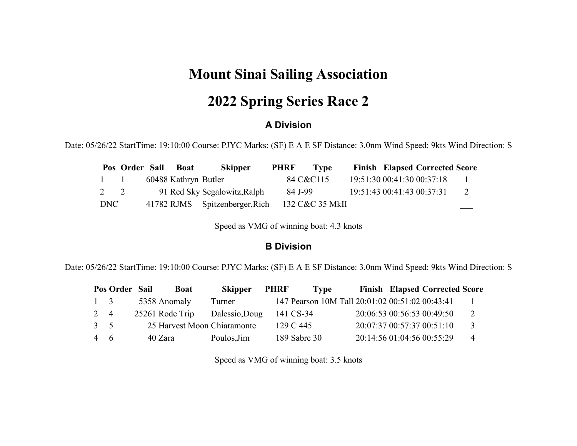### **Mount Sinai Sailing Association**

### **2022 Spring Series Race 2**

#### **A Division**

Date: 05/26/22 StartTime: 19:10:00 Course: PJYC Marks: (SF) E A E SF Distance: 3.0nm Wind Speed: 9kts Wind Direction: S

|             | Pos Order Sail | <b>Boat</b>          | <b>Skipper</b>                 | <b>PHRF</b> | Type            |                            | <b>Finish Elapsed Corrected Score</b> |              |
|-------------|----------------|----------------------|--------------------------------|-------------|-----------------|----------------------------|---------------------------------------|--------------|
| $1 \quad 1$ |                | 60488 Kathryn Butler |                                |             | 84 C&C115       | 19:51:30 00:41:30 00:37:18 |                                       | $\mathbf{1}$ |
| 2 2         |                |                      | 91 Red Sky Segalowitz, Ralph   | 84 J-99     |                 | 19:51:43 00:41:43 00:37:31 |                                       | 2            |
| DNC         |                |                      | 41782 RJMS Spitzenberger, Rich |             | 132 C&C 35 MkII |                            |                                       |              |

Speed as VMG of winning boat: 4.3 knots

#### **B Division**

Date: 05/26/22 StartTime: 19:10:00 Course: PJYC Marks: (SF) E A E SF Distance: 3.0nm Wind Speed: 9kts Wind Direction: S

|             | Pos Order Sail | <b>Boat</b>                 | <b>Skipper</b> | <b>PHRF</b> | Type                                            |  | <b>Finish Elapsed Corrected Score</b> |                |
|-------------|----------------|-----------------------------|----------------|-------------|-------------------------------------------------|--|---------------------------------------|----------------|
| $1 \quad 3$ |                | 5358 Anomaly                | Turner         |             | 147 Pearson 10M Tall 20:01:02 00:51:02 00:43:41 |  |                                       |                |
| 2 4         |                | 25261 Rode Trip             | Dalessio, Doug |             | 141 CS-34                                       |  | 20:06:53 00:56:53 00:49:50            | 2              |
| $3 \quad 5$ |                | 25 Harvest Moon Chiaramonte |                |             | 129 C 445                                       |  | 20:07:37 00:57:37 00:51:10            | 3              |
| 4 6         |                | 40 Zara                     | Poulos, Jim    |             | 189 Sabre 30                                    |  | 20:14:56 01:04:56 00:55:29            | $\overline{4}$ |

Speed as VMG of winning boat: 3.5 knots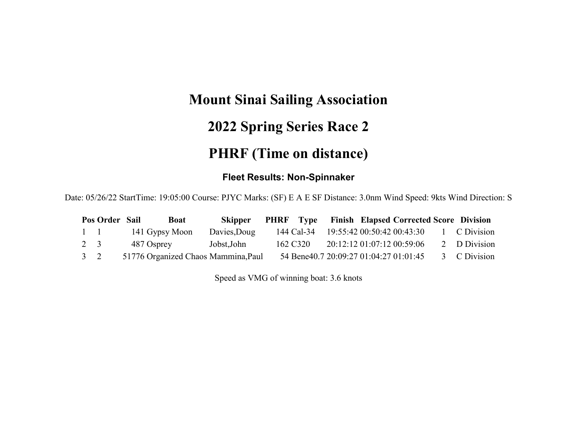## **Mount Sinai Sailing Association 2022 Spring Series Race 2**

## **PHRF (Time on distance)**

#### **Fleet Results: Non-Spinnaker**

Date: 05/26/22 StartTime: 19:05:00 Course: PJYC Marks: (SF) E A E SF Distance: 3.0nm Wind Speed: 9kts Wind Direction: S

|             | Pos Order Sail | <b>Boat</b>                         | <b>Skipper</b> | <b>PHRF</b> Type Finish Elapsed Corrected Score Division |                            |  |              |
|-------------|----------------|-------------------------------------|----------------|----------------------------------------------------------|----------------------------|--|--------------|
| $1 \quad 1$ |                | 141 Gypsy Moon                      | Davies, Doug   | 144 Cal-34 19:55:42 00:50:42 00:43:30                    |                            |  | 1 C Division |
| 2 3         |                | 487 Osprey                          | Jobst, John    | 162 C320                                                 | 20:12:12 01:07:12 00:59:06 |  | 2 D Division |
| $3\quad 2$  |                | 51776 Organized Chaos Mammina, Paul |                | 54 Bene40.7 20:09:27 01:04:27 01:01:45                   |                            |  | 3 C Division |

Speed as VMG of winning boat: 3.6 knots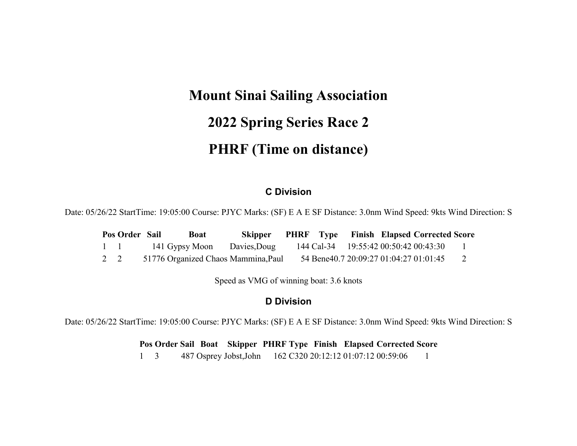## **Mount Sinai Sailing Association 2022 Spring Series Race 2 PHRF (Time on distance)**

#### **C Division**

Date: 05/26/22 StartTime: 19:05:00 Course: PJYC Marks: (SF) E A E SF Distance: 3.0nm Wind Speed: 9kts Wind Direction: S

|             | Pos Order Sail | <b>Boat</b>                         | <b>Skipper</b> |  |  | <b>PHRF</b> Type Finish Elapsed Corrected Score |  |
|-------------|----------------|-------------------------------------|----------------|--|--|-------------------------------------------------|--|
| $1 \quad 1$ |                | 141 Gypsy Moon                      | Davies, Doug   |  |  | 144 Cal-34 19:55:42 00:50:42 00:43:30           |  |
| 2 2         |                | 51776 Organized Chaos Mammina, Paul |                |  |  | 54 Bene40.7 20:09:27 01:04:27 01:01:45          |  |

Speed as VMG of winning boat: 3.6 knots

#### **D Division**

Date: 05/26/22 StartTime: 19:05:00 Course: PJYC Marks: (SF) E A E SF Distance: 3.0nm Wind Speed: 9kts Wind Direction: S

**Pos Order Sail Boat Skipper PHRF Type Finish Elapsed Corrected Score**

 $1 \quad 3$ 487 Osprey Jobst,John 162 C320 20:12:12 01:07:12 00:59:06 1